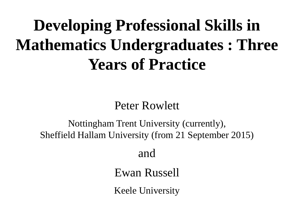# **Developing Professional Skills in Mathematics Undergraduates : Three Years of Practice**

Peter Rowlett

Nottingham Trent University (currently), Sheffield Hallam University (from 21 September 2015)

and

Ewan Russell

Keele University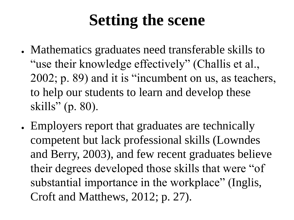# **Setting the scene**

- Mathematics graduates need transferable skills to "use their knowledge effectively" (Challis et al., 2002; p. 89) and it is "incumbent on us, as teachers, to help our students to learn and develop these skills" (p. 80).
- Employers report that graduates are technically competent but lack professional skills (Lowndes and Berry, 2003), and few recent graduates believe their degrees developed those skills that were "of substantial importance in the workplace" (Inglis, Croft and Matthews, 2012; p. 27).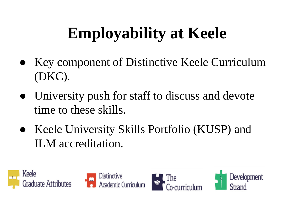# **Employability at Keele**

- Key component of Distinctive Keele Curriculum (DKC).
- University push for staff to discuss and devote time to these skills.
- Keele University Skills Portfolio (KUSP) and ILM accreditation.







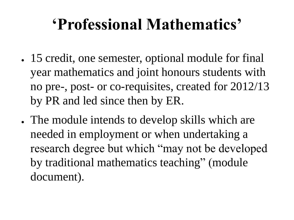### **'Professional Mathematics'**

- 15 credit, one semester, optional module for final year mathematics and joint honours students with no pre-, post- or co-requisites, created for 2012/13 by PR and led since then by ER.
- The module intends to develop skills which are needed in employment or when undertaking a research degree but which "may not be developed by traditional mathematics teaching" (module document).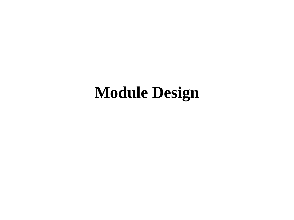### **Module Design**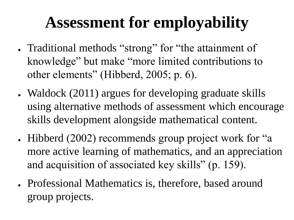# **Assessment for employability**

- Traditional methods "strong" for "the attainment of knowledge" but make "more limited contributions to other elements" (Hibberd, 2005; p. 6).
- Waldock (2011) argues for developing graduate skills using alternative methods of assessment which encourage skills development alongside mathematical content.
- Hibberd (2002) recommends group project work for "a more active learning of mathematics, and an appreciation and acquisition of associated key skills" (p. 159).
- Professional Mathematics is, therefore, based around group projects.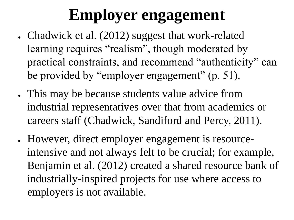# **Employer engagement**

- Chadwick et al. (2012) suggest that work-related learning requires "realism", though moderated by practical constraints, and recommend "authenticity" can be provided by "employer engagement" (p. 51).
- This may be because students value advice from industrial representatives over that from academics or careers staff (Chadwick, Sandiford and Percy, 2011).
- However, direct employer engagement is resourceintensive and not always felt to be crucial; for example, Benjamin et al. (2012) created a shared resource bank of industrially-inspired projects for use where access to employers is not available.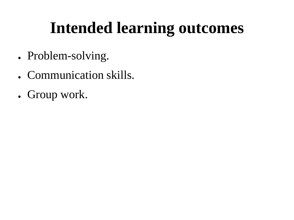# **Intended learning outcomes**

- Problem-solving.
- Communication skills.
- Group work.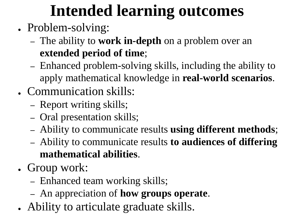# **Intended learning outcomes**

- Problem-solving:
	- The ability to **work in-depth** on a problem over an **extended period of time**;
	- Enhanced problem-solving skills, including the ability to apply mathematical knowledge in **real-world scenarios**.
- Communication skills:
	- Report writing skills;
	- Oral presentation skills;
	- Ability to communicate results **using different methods**;
	- Ability to communicate results **to audiences of differing mathematical abilities**.
- Group work:
	- Enhanced team working skills;
	- An appreciation of **how groups operate**.
- Ability to articulate graduate skills.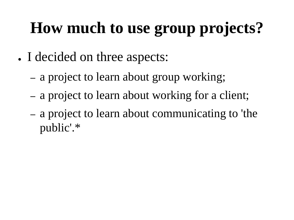# **How much to use group projects?**

- I decided on three aspects:
	- a project to learn about group working;
	- a project to learn about working for a client;
	- a project to learn about communicating to 'the public'.\*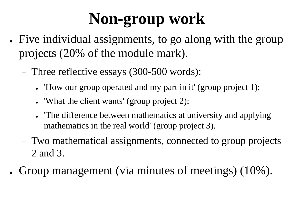# **Non-group work**

- Five individual assignments, to go along with the group projects (20% of the module mark).
	- Three reflective essays (300-500 words):
		- 'How our group operated and my part in it' (group project 1);
		- 'What the client wants' (group project 2);
		- The difference between mathematics at university and applying mathematics in the real world' (group project 3).
	- Two mathematical assignments, connected to group projects 2 and 3.
	- Group management (via minutes of meetings) (10%).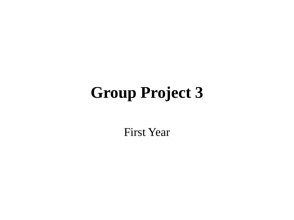### **Group Project 3**

First Year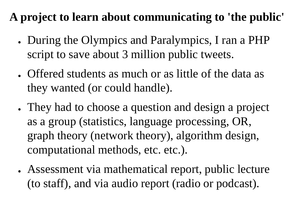#### **A project to learn about communicating to 'the public'**

- During the Olympics and Paralympics, I ran a PHP script to save about 3 million public tweets.
- Offered students as much or as little of the data as they wanted (or could handle).
- They had to choose a question and design a project as a group (statistics, language processing, OR, graph theory (network theory), algorithm design, computational methods, etc. etc.).
- Assessment via mathematical report, public lecture (to staff), and via audio report (radio or podcast).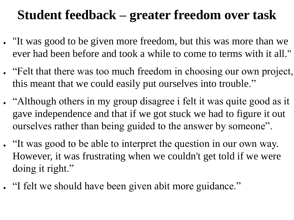#### **Student feedback – greater freedom over task**

- "It was good to be given more freedom, but this was more than we ever had been before and took a while to come to terms with it all."
- "Felt that there was too much freedom in choosing our own project, this meant that we could easily put ourselves into trouble."
- "Although others in my group disagree i felt it was quite good as it gave independence and that if we got stuck we had to figure it out ourselves rather than being guided to the answer by someone".
- "It was good to be able to interpret the question in our own way. However, it was frustrating when we couldn't get told if we were doing it right."
- "I felt we should have been given abit more guidance."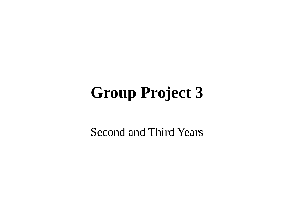## **Group Project 3**

Second and Third Years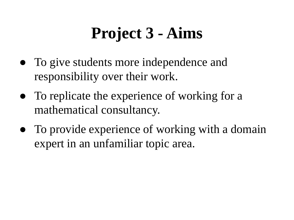# **Project 3 - Aims**

- To give students more independence and responsibility over their work.
- To replicate the experience of working for a mathematical consultancy.
- To provide experience of working with a domain expert in an unfamiliar topic area.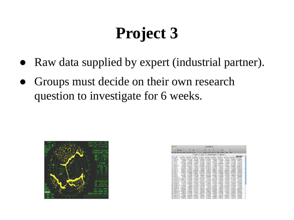# **Project 3**

- Raw data supplied by expert (industrial partner).
- Groups must decide on their own research question to investigate for 6 weeks.



|            | $P$ <b>D</b> $\mathbf{H}$ $\mathbf{R}$ $\mathbf{B}$ $\mathbf{B}$ $\mathbf{B}$ $\mathbf{B}$ $\mathbf{B}$ $\mathbf{A}$ $\mathbf{B}$ $\mathbf{C}$ $\mathbf{A}$ $\mathbf{C}$ $\mathbf{A}$ $\mathbf{C}$ $\mathbf{A}$ $\mathbf{C}$ $\mathbf{A}$ $\mathbf{C}$ |              |                          |                           |               |                   |              | 請<br>$\overline{a}$                                                   | 100% - @          |              |              |
|------------|--------------------------------------------------------------------------------------------------------------------------------------------------------------------------------------------------------------------------------------------------------|--------------|--------------------------|---------------------------|---------------|-------------------|--------------|-----------------------------------------------------------------------|-------------------|--------------|--------------|
|            | New Open Save Print Import                                                                                                                                                                                                                             |              |                          |                           |               |                   |              | Copy Paste Format Unio Redo AutoSum Sort A-Z Sort Z-A Gallery Toolbox | 700 <sub>cm</sub> | Helo         |              |
|            |                                                                                                                                                                                                                                                        |              |                          | <b>Sheets</b>             | <b>Charts</b> | SmartArt Graphics |              | WordArt                                                               |                   |              |              |
| $\Diamond$ | A                                                                                                                                                                                                                                                      | R            | c                        | $\overline{D}$            | F             | ¢                 | G            | H                                                                     |                   |              |              |
|            | ProbeID                                                                                                                                                                                                                                                | GSM475656    | GSM475657                | GSM475658                 | GSM475659     | GSM475660         | GSM475656    | GSM475657                                                             | GSM475658         | GSM475659    | GSM475660    |
|            | 1007 s at                                                                                                                                                                                                                                              | 0.6025324    | 0.19316182               | $-0.677538$               | $-0.3604422$  | 0.17900302        | 0.6025324    | 0.19316182                                                            | $-0.677538$       | $-0.3604422$ | 0.17900302   |
| 3          | 1053 at                                                                                                                                                                                                                                                | 1.007996     | $-1.1153966$             | $-0.1598286$              | $-0.5415392$  | $-0.7381741$      | 1.007996     | $-1.1153966$                                                          | $-0.1598286$      | $-0.5415392$ | $-0.7381741$ |
| 4          | 117 at                                                                                                                                                                                                                                                 | $-0.0626524$ | $-0.7902201$             | 0.0714298                 | $-0.4716865$  | $-0.1071497$      | $-0.0626524$ | $-0.7902201$                                                          | 0.0714298         | $-0.4716865$ | $-0.1071497$ |
| ¢.         | 121 家                                                                                                                                                                                                                                                  | 1.0119996    | 0.22818948               | $-1.9908979$              | $-0.4129386$  | 0.7835351         | 1.0119996    | 0.22818948                                                            | $-1.9908979$      | $-0.4129386$ | 0.7835351    |
| 6          | 1255_c_at                                                                                                                                                                                                                                              | 2.328666     | 0.01311761               | $-0.3321877$              | $-0.0158898$  | $-0.3256279$      | 2.328666     | 0.01311761                                                            | $-0.3321877$      | $-0.0158898$ | $-0.3256279$ |
|            | 7 1294 at                                                                                                                                                                                                                                              | $-0.7724094$ | $-0.0041448$             | 0.3540935                 | 0.75828457    | 0.43585715        | $-0.7724094$ | $-0.0041448$                                                          | 0.3540935         | 0.75828457   | 0.43585715   |
|            | 8 1316 at                                                                                                                                                                                                                                              | 1,8812339    | 1.7583072                | $-1.7197945$              | $-0.1329822$  | 0.54258776        | 1.8812339    | 1,7583072                                                             | $-1.7197945$      | $-0.1329822$ | 0.54258776   |
|            | 9 1320 at                                                                                                                                                                                                                                              | $-0.2006144$ | 0.5435593                | 0.8769756                 | 0.602068      | $-0.1855693$      | $-0.2006144$ | 0.5435593                                                             | 0.8769756         | 0.602068     | $-0.1855693$ |
|            | 10 1405 i at                                                                                                                                                                                                                                           | 0.5095527    | 0.57218146               | 0.08552994                | 0.40088323    | $-0.2393195$      | 0.5095527    | 0.57218146                                                            | 0.08552994        | 0.40088323   | $-0.2393195$ |
|            | 11 1431 at                                                                                                                                                                                                                                             | $-0.0962275$ | $-0.3288608$             | 0.19355437                | 0.42478633    | $-0.0995305$      | $-0.0962275$ | $-0.3288608$                                                          | 0.19355437        | 0.42478633   | $-0.0995305$ |
|            | 12 1438 at                                                                                                                                                                                                                                             | 1.1716307    | $-0.3478868$             | $-0.6892504$              | $-0.6571428$  | $-0.4316459$      | 1.1716307    | $-0.3478868$                                                          | $-0.6892504$      | $-0.6571428$ | $-0.4316459$ |
|            | 13 1487 at                                                                                                                                                                                                                                             | $-0.6879891$ | $-0.7973489$             | $-0.7847958$              | $-0.2988045$  | 0.36704266        | $-0.6879891$ | $-0.7973489$                                                          | $-0.7847958$      | $-0.2988045$ | 0.36704266   |
|            | 14 1494 f at                                                                                                                                                                                                                                           | 1,182922     | 0.5458729                | $-0.433569$               | $-0.353471$   | 0.2889009         | 1.182922     | 0.5458729                                                             | $-0.433569$       | $-0.353471$  | 0.2889009    |
|            | 15 1552256 a at                                                                                                                                                                                                                                        | 2.2442799    | $-0.4462985$             | $-0.2924392$              | 0.00128528    | 0.25613037        | 2,2442799    | $-0.4462985$                                                          | $-0.2924392$      | 0.00128528   | 0.25613037   |
|            | 16 1552257 a at 0.60391754                                                                                                                                                                                                                             |              | $-0.3254536$             | $-0.3559788$              | $-0.5117407$  | $-0.157033$       | 0.60391754   | $-0.3254536$                                                          | $-0.3559788$      | $-0.5117407$ | $-0.157033$  |
|            | 17 1552258 at                                                                                                                                                                                                                                          | 0.07013843   | $-0.1282495$             | 0.8163937                 | $-0.4106797$  | $-0.0521664$      | 0.07013843   | $-0.1282495$                                                          | 0.8163937         | $-0.4106797$ | $-0.0521664$ |
|            | 18 1552261 at                                                                                                                                                                                                                                          | 2.1537864    | $-0.3000014$             | $-0.3325359$              | 0.02727758    | 0.47420725        | 2.1537864    | $-0.3000014$                                                          | $-0.3325359$      | 0.02727758   | 0.47420725   |
|            | 19 1552263 at                                                                                                                                                                                                                                          |              | $-0.918723$ $0.34499824$ | 0.3353535                 | 0.3238384     | $-0.635966$       | $-0.918723$  | 0.34499824                                                            | 0.3353535         | 0.3238384    | $-0.635966$  |
|            | 20 1552264 a at                                                                                                                                                                                                                                        | $-2.1199062$ | $-0.83264$               | $-0.1741965$              | 0.15257958    | $-0.4294158$      | $-2.1199062$ | $-0.83264$                                                            | $-0.1741965$      | 0.15257958   | $-0.4294158$ |
|            | 21 1552266 at                                                                                                                                                                                                                                          | $-0.1503539$ | $-0.4383096$             | 0.00625329                | $-0.4316555$  | $-0.63362$        | $-0.1503539$ | $-0.4383096$                                                          | 0.00625329        | $-0.4316555$ | $-0.63362$   |
|            | 22 1552269 at                                                                                                                                                                                                                                          | 0.00610567   | 1.9986593                | $-0.1229573$              | $-0.5280119$  | 0.5293166         | 0.00610567   | 1,9986593                                                             | $-0.1229573$      | $-0.5280119$ | 0.5293166    |
|            | 23 1552271 at                                                                                                                                                                                                                                          | 0.5587068    | $-0.927527$              | $-1.2287322$              | $-0.5561693$  | 0.00275744        | 0.5587068    | $-0.927527$                                                           | $-1.2287322$      | $-0.5561693$ | 0.00275744   |
|            | 24 1552272 a at 0.05685004                                                                                                                                                                                                                             |              | $-0.2139209$             | $-0.6711314$              | $-0.7561929$  | 0.8036677         | 0.05685004   | $-0.2139209$                                                          | $-0.6711314$      | $-0.7561929$ | 0.8036677    |
|            | 25 1552274 at                                                                                                                                                                                                                                          | $-2.064218$  | $-0.7472956$             | 1,4428427                 | $-0.9342654$  | $-0.4722348$      | $-2.064218$  | $-0.7472956$                                                          | 1,4428427         | $-0.9342654$ | $-0.4722348$ |
|            | 26 1552275 s.at                                                                                                                                                                                                                                        | $-2.0883887$ | $-0.7747383$             | 1.1617047                 | 0.63631165    | $-0.2251689$      | $-2.0883887$ | $-0.7747383$                                                          | 1.1617047         | 0.63631165   | $-0.2251689$ |
|            | 27 1552276 a at                                                                                                                                                                                                                                        | 2.453442     |                          | $-0.6551982$ $0.50086373$ | 0.9680212     | 2.0542095         | 2.453442     | $-0.6551982$                                                          | 0.50086373        | 0.9580212    | 2.0542095    |
|            | 28 1552277 a at 0.01508948 -0.8362163                                                                                                                                                                                                                  |              |                          | $-0.2443267$              | $-0.5174826$  | $-0.7129148$      | 0.01508948   | $-0.8362163$                                                          | $-0.2443267$      | $-0.5174826$ | $-0.7129148$ |
|            | 30 HESTER - A SERVICE ARCHIVA ARCHIVAN A FRENCH A CASCONA                                                                                                                                                                                              |              |                          |                           |               |                   |              | A 300030 A 2000301 A 0003303 A EDITATIV A EASTRONA                    |                   |              |              |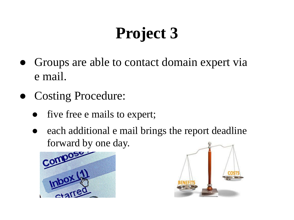# **Project 3**

- Groups are able to contact domain expert via e mail.
- Costing Procedure:
	- five free e mails to expert;
	- each additional e mail brings the report deadline forward by one day.



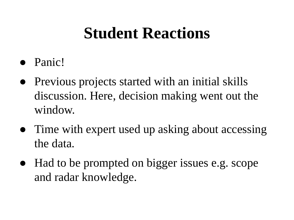### **Student Reactions**

- Panic!
- Previous projects started with an initial skills discussion. Here, decision making went out the window.
- Time with expert used up asking about accessing the data.
- Had to be prompted on bigger issues e.g. scope and radar knowledge.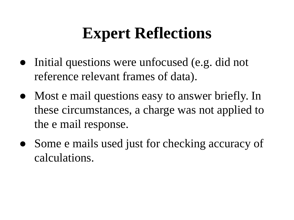# **Expert Reflections**

- Initial questions were unfocused (e.g. did not reference relevant frames of data).
- Most e mail questions easy to answer briefly. In these circumstances, a charge was not applied to the e mail response.
- Some e mails used just for checking accuracy of calculations.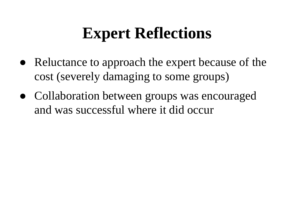# **Expert Reflections**

- Reluctance to approach the expert because of the cost (severely damaging to some groups)
- Collaboration between groups was encouraged and was successful where it did occur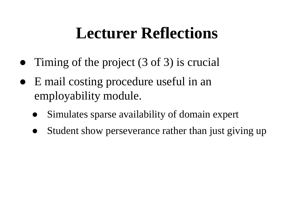### **Lecturer Reflections**

- Timing of the project (3 of 3) is crucial
- E mail costing procedure useful in an employability module.
	- Simulates sparse availability of domain expert
	- Student show perseverance rather than just giving up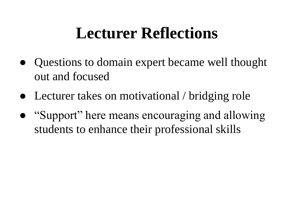### **Lecturer Reflections**

- Questions to domain expert became well thought out and focused
- Lecturer takes on motivational / bridging role
- "Support" here means encouraging and allowing students to enhance their professional skills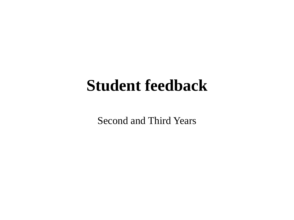#### **Student feedback**

Second and Third Years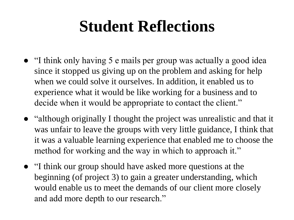### **Student Reflections**

- "I think only having 5 e mails per group was actually a good idea since it stopped us giving up on the problem and asking for help when we could solve it ourselves. In addition, it enabled us to experience what it would be like working for a business and to decide when it would be appropriate to contact the client."
- "although originally I thought the project was unrealistic and that it was unfair to leave the groups with very little guidance, I think that it was a valuable learning experience that enabled me to choose the method for working and the way in which to approach it."
- "I think our group should have asked more questions at the beginning (of project 3) to gain a greater understanding, which would enable us to meet the demands of our client more closely and add more depth to our research."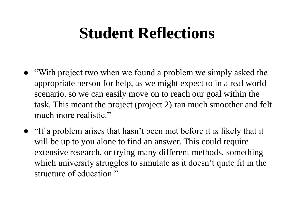### **Student Reflections**

- "With project two when we found a problem we simply asked the appropriate person for help, as we might expect to in a real world scenario, so we can easily move on to reach our goal within the task. This meant the project (project 2) ran much smoother and felt much more realistic."
- "If a problem arises that hasn't been met before it is likely that it will be up to you alone to find an answer. This could require extensive research, or trying many different methods, something which university struggles to simulate as it doesn't quite fit in the structure of education."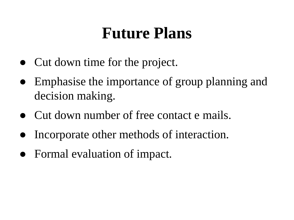#### **Future Plans**

- Cut down time for the project.
- Emphasise the importance of group planning and decision making.
- Cut down number of free contact e mails.
- Incorporate other methods of interaction.
- Formal evaluation of impact.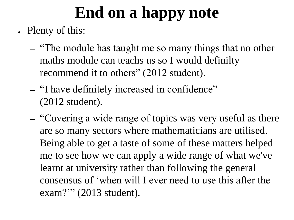# **End on a happy note**

- Plenty of this:
	- "The module has taught me so many things that no other maths module can teachs us so I would definilty recommend it to others" (2012 student).
	- "I have definitely increased in confidence" (2012 student).
	- "Covering a wide range of topics was very useful as there are so many sectors where mathematicians are utilised. Being able to get a taste of some of these matters helped me to see how we can apply a wide range of what we've learnt at university rather than following the general consensus of 'when will I ever need to use this after the exam?"" (2013 student).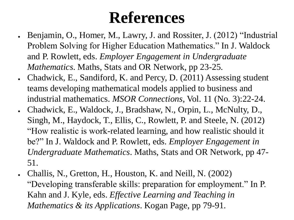### **References**

- Benjamin, O., Homer, M., Lawry, J. and Rossiter, J. (2012) "Industrial Problem Solving for Higher Education Mathematics." In J. Waldock and P. Rowlett, eds. *Employer Engagement in Undergraduate Mathematics*. Maths, Stats and OR Network, pp 23-25.
- Chadwick, E., Sandiford, K. and Percy, D. (2011) Assessing student teams developing mathematical models applied to business and industrial mathematics. *MSOR Connections*, Vol. 11 (No. 3):22-24.
- Chadwick, E., Waldock, J., Bradshaw, N., Orpin, L., McNulty, D., Singh, M., Haydock, T., Ellis, C., Rowlett, P. and Steele, N. (2012) "How realistic is work-related learning, and how realistic should it be?" In J. Waldock and P. Rowlett, eds. *Employer Engagement in Undergraduate Mathematics*. Maths, Stats and OR Network, pp 47- 51.
- Challis, N., Gretton, H., Houston, K. and Neill, N. (2002) "Developing transferable skills: preparation for employment." In P. Kahn and J. Kyle, eds. *Effective Learning and Teaching in Mathematics & its Applications*. Kogan Page, pp 79-91.